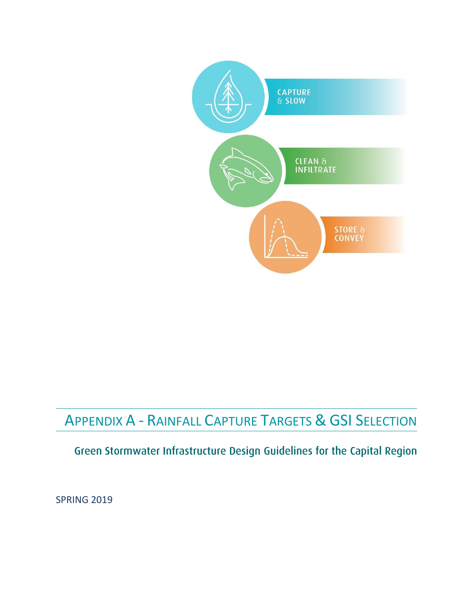

# APPENDIX A - RAINFALL CAPTURE TARGETS & GSI SELECTION

## Green Stormwater Infrastructure Design Guidelines for the Capital Region

**SPRING 2019**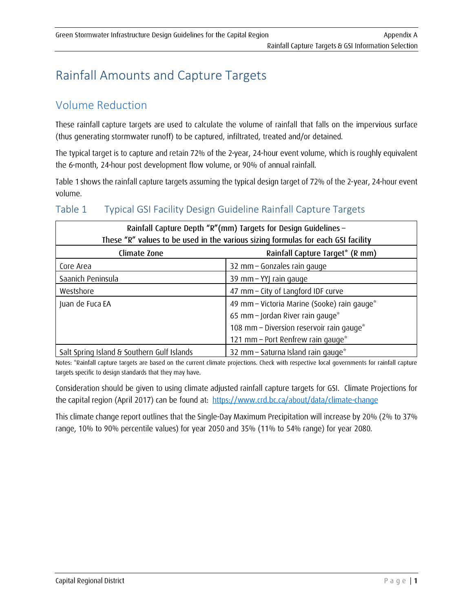# **Rainfall Amounts and Capture Targets**

#### **Volume Reduction**

These rainfall capture targets are used to calculate the volume of rainfall that falls on the impervious surface (thus generating stormwater runoff) to be captured, infiltrated, treated and/or detained.

The typical target is to capture and retain 72% of the 2-year, 24-hour event volume, which is roughly equivalent the 6-month, 24-hour post development flow volume, or 90% of annual rainfall.

Table 1 shows the rainfall capture targets assuming the typical design target of 72% of the 2-year, 24-hour event volume.

#### Table 1 Typical GSI Facility Design Guideline Rainfall Capture Targets

| Rainfall Capture Depth "R"(mm) Targets for Design Guidelines -<br>These "R" values to be used in the various sizing formulas for each GSI facility |                                             |  |  |  |  |  |  |  |  |
|----------------------------------------------------------------------------------------------------------------------------------------------------|---------------------------------------------|--|--|--|--|--|--|--|--|
| Climate Zone                                                                                                                                       | Rainfall Capture Target* (R mm)             |  |  |  |  |  |  |  |  |
| Core Area                                                                                                                                          | 32 mm - Gonzales rain gauge                 |  |  |  |  |  |  |  |  |
| Saanich Peninsula                                                                                                                                  | 39 mm - YYJ rain gauge                      |  |  |  |  |  |  |  |  |
| Westshore                                                                                                                                          | 47 mm - City of Langford IDF curve          |  |  |  |  |  |  |  |  |
| Juan de Fuca EA                                                                                                                                    | 49 mm - Victoria Marine (Sooke) rain gauge* |  |  |  |  |  |  |  |  |
|                                                                                                                                                    | 65 mm - Jordan River rain gauge*            |  |  |  |  |  |  |  |  |
|                                                                                                                                                    | 108 mm - Diversion reservoir rain gauge*    |  |  |  |  |  |  |  |  |
|                                                                                                                                                    | 121 mm - Port Renfrew rain gauge*           |  |  |  |  |  |  |  |  |
| Salt Spring Island & Southern Gulf Islands                                                                                                         | 32 mm - Saturna Island rain gauge*          |  |  |  |  |  |  |  |  |

Notes: \*Rainfall capture targets are based on the current climate projections. Check with respective local governments for rainfall capture targets specific to design standards that they may have.

Consideration should be given to using climate adjusted rainfall capture targets for GSI. Climate Projections for the capital region (April 2017) can be found at: https://www.crd.bc.ca/about/data/climate-change

This climate change report outlines that the Single-Day Maximum Precipitation will increase by 20% (2% to 37% range, 10% to 90% percentile values) for year 2050 and 35% (11% to 54% range) for year 2080.